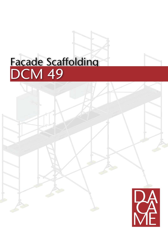# DCM 49 Façade Scaffolding

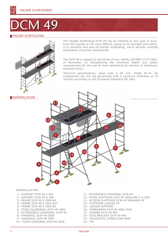# 49

# FAÇADE SCAFFOLDING



The Façade Scaffolding DCM 49 can be adapted to any type of work, from the easiest to the most difficult, owing to its strength and safety. It is versatile and easy-to-handle scaffolding, which permits multiple assemblies using few components.

The DCM 49 is subject to the terms of use: ROYAL DECREE 2177/2004, of November 12 (Establishing the minimum health and safety requirements for the use of work equipment by workers in temporary elevated work).

Technical specifications: Steel tube ø 48 mm. Grade St-44. All components are hot dip galvanized with a minimum thickness of 75 microns according to the European Standard EN 1461.



#### NOMENCLATURE:

- 1.- support DCM 49 I-300
- 2.- Support DCM 49 A-300
- 3.- frame DCM 49 E 2000 B4
- 4.- frame DCM 49 E 2000 B2T
- 5.- frame DCM 49 E 1500 B3
- 6.- fixed guardrail DCM-49 3000
- 7.- EXTENSIBLE guardrail DCM-49
- 8.- handrail DCM-49 2000
- 9.- handrail DCM-49 3000
- 10.- fixed diagonal DCM-49 3000
- 11.- EXTENSIBLE diagonal DCM-49
- 12.- fixed platform DCM 49 3000x300 C-4 (SM)
- 13.- ACCESs platform DCM 49 3000x600 FR
- 14.- platform ladder FR
- 15.- ladder support
- 16.- toeboards DCM 49 3000 (SM)
- 17.- RUNNER DCM 49 945
- 18.- SIDE BRACKET DCM 49 945
- 19.- TELESCOPIC STABILIZER 6000
- 20.- TIE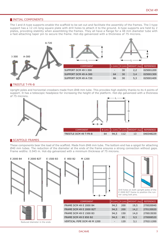# **INITIAL COMPONENTS**

The I and A-type supports enable the scaffold to be set out and facilitate the assembly of the frames. The I-type support has a 12 cm long square plate with drill holes to attach it to the ground. A-type supports are held by 2 plates, providing stability when assembling the frames. They all have a flange for a 48 mm diameter tube with a fast-attaching taper pin to secure the frame. Hot-dip galvanized with a thickness of 75 microns.



### **TRESTLE T-FR-B**

Upright poles and horizontal crossbars made from Ø48 mm tube. This provides high stability thanks to its 4 points of support. It has a telescopic headpiece for increasing the height of the platform. Hot-dip galvanized with a thickness of 75 microns.



# SCAFFOLD FRAMES

These components bear the load of the scaffold. Made from Ø48 mm tube. The bottom end has a spigot for attaching Ø40 mm tubes. The reduction of the diameter at the ends of the frame ensures a strong connection without gaps. Frame widths: 0.945 m. Hot-dip galvanized with a minimum thickness of 75 microns.

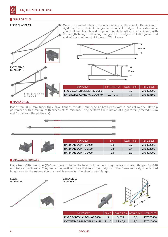# GUARDRAILS



#### **HANDRAILS**

Made from Ø35 mm tube, they have flanges for Ø48 mm tube at both ends with a conical wedge. Hot-dip galvanized with a minimum thickness of 75 microns. They perform the function of a guardrail (erected 0.5 m and 1 m above the platforms).



|  | <b>COMPONENT</b>     | _ (m) | WEIGHT (kg) | <b>REFERENCE</b> |
|--|----------------------|-------|-------------|------------------|
|  | HANDRAIL DCM-49 2000 | 2,0   |             | 270402000        |
|  | HANDRAIL DCM-49 2500 | 2,5   | 3.4         | 270402500        |
|  | HANDRAIL DCM-49 3000 | 3,0   | 5,3         | 270403000        |

#### **DIAGONAL BRACES**

Made from Ø40 mm tube (Ø45 mm outer tube in the telescopic model), they have articulated flanges for Ø48 mm tube at both ends. They make the vertical tubes that form the uprights of the frame more rigid. Attached lengthwise to the extendable diagonal brace using the sheet metal flange.

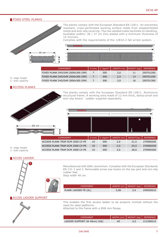# **FIXED STEEL PLANKS**



The planks comply with the European Standard EN 12811. An extremely resistant, cross-perforated working surface made from shaped/folded metal and anti-slip covering. The two welded tubes facilitate to handling. Available widths: 30 / 37 cm Zinc-plated with a minimum thickness of 15 microns.

Complies with the requirements of the 12810-2 fall arrest system.



| <b>COMPONENT</b>                  | H (cmi | $C$ (kg/m <sup>2)</sup> | LENGTH (m) WEIGHT (kg) |    | REFERENCE |
|-----------------------------------|--------|-------------------------|------------------------|----|-----------|
| FIXED PLANK D45/D49 2000x300 (SM) |        | 300                     | 2.0                    |    | 250701200 |
| FIXED PLANK D45/D49 2500x300 (SM) |        | 300                     | 2.5                    | 13 | 250701250 |
| FIXED PLANK D45/D49 3000x300 (SM) |        | 300                     | 3.0                    | 16 | 250701300 |

#### **ACCESS PLANKS**

H: edge height C: load capacity



The planks comply with the European Standard EN 12811. Aluminium structural frame. A working area made of 12 mm thick, damp-proof and anti-slip board. Ladder supplied separately.



| <b>COMPONENT</b>                 | $H$ (cm) $^{\dagger}$ |     | $\vert$ C (kg/m <sup>2)</sup> LENGTH (m) WEIGHT(kg) FREFERENCE |      |           |
|----------------------------------|-----------------------|-----|----------------------------------------------------------------|------|-----------|
| ACCESS PLANK TRAP DCM 2000 C4 FR | 10                    | 300 | 2.0                                                            | 21.5 | 270900200 |
| ACCESS PLANK TRAP DCM 2500 C4 FR | 10                    | 300 | 2.5                                                            | 24.5 | 270900250 |
| ACCESS PLANK TRAP DCM 3000 C4 FR | 10                    | 300 | 3.0                                                            | 28.0 | 270900300 |

#### **ACCES LADDER**

H: edge height C: load capacity



Manufactured with 6061 aluminium. Complies with the European Standards EN 131-1 and 2. Removable screw eye hooks on the top part and non-slip rubber feet. Step width 40 cm.

COMPONENT LENGTH (m) WEIGHT (kg) REFERENCE PLANK LADDER FR (AL) 2,06 3,4 240920010

# **ACCES LADDER SUPPORT**



This enables the first access ladder to be properly inclined without the need for steel platforms.

Attached to the frame with a Ø48 mm flange.

| <b>COMPONENT</b>             | WIDTH (cm)   WEIGHT (kg)   REFERENCE |     |           |
|------------------------------|--------------------------------------|-----|-----------|
| LADDER SUPPORT (W 40cm) (GA) | 40                                   | 4,5 | 212390010 |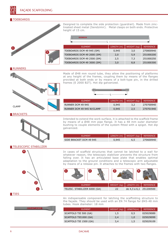#### **TOEBOARDS**



| Designed to complete the side protection (quardrail). Made from zinc-  |
|------------------------------------------------------------------------|
| treated sheet metal (Sendzimir). Metal clasps on both ends. Protective |
| height of 15 cm.                                                       |

|  |  | 8 D A C A M E-             |            |             |                  |
|--|--|----------------------------|------------|-------------|------------------|
|  |  | <b>ELEMENT</b>             | LENGTH (m) | WEIGHT (kg) | <b>REFERENCE</b> |
|  |  | TOEBOARDS DCM 49 945 (SM)  | 0,945      | 3,0         | 270800940        |
|  |  | TOEBOARDS DCM 49 2000 (SM) | 2,0        | 5,9         | 251000200        |
|  |  | TOEBOARDS DCM 49 2500 (SM) | 2,5        | 7,3         | 251000250        |
|  |  | TOEBOARDS DCM 49 3000 (SM) | 3,0        | 8,8         | 251000300        |

RUNNERS



Made of Ø48 mm round tube, they allow the positioning of platforms at any height of the frames, coupling them by means of the flanges provided at both ends or by means of a bolt-type pin, in the drilled frames (E 2000 B2T). Hot dip galvanized.



| <b>FI FMFNT</b>           | LENGTH (m) | WEIGHT $(kq)$ | <b>REFERENCE</b> |
|---------------------------|------------|---------------|------------------|
| RUNNER DCM 49 945         | 0.945      | 3.2           | 270700940        |
| RUNNER DCM 49 945 W/CLAMP | 0.945      | 2,5           | 270701940        |

**BRACKETS** 



Intended to extend the work surface, it is attached to the scaffold frame by means of a Ø48 mm pipe flange. It has a 48 mm outer diameter bushing to couple elements of the system fitted with a spigot. Hot dip galvanized.

| <b>FI FMFNT</b>         | LENGTH (m)   WEIGHT (kg)   REFERENCE |     |           |
|-------------------------|--------------------------------------|-----|-----------|
| SIDE BRACKET DCM 49 945 | 0.945                                | 6.5 | 270600940 |

TELESCOPIC STABILIZER



In cases of scaffold structures that cannot be latched to a wall for whatever reason, the telescopic stabilizer prevents the structure from falling over. It has an articulated base plate that enables optimal adaptation to the ground conditions and a telescopic arm adjustable by means of a release pin. It attaches to the frames with two flanges.



| <b>FI FMFNT</b>              | WEIGHT (kg)   LENGTH (m)   REFERENCE |  |
|------------------------------|--------------------------------------|--|
| TELESC. STABILIZER 6000 (GA) | de 4,3 a 6,1 251200500               |  |

**TIES** 



An indispensable component for latching the scaffolding structure to the façade. They should be used with an EN 74 flange for Ø45-48 mm tubes. Hook diameter: 18 mm

| <b>ELEMENT</b>         | WEIGHT (kg) | LENGTH(m) | <b>REFERENCE</b> |
|------------------------|-------------|-----------|------------------|
| SCAFFOLD TIE 500 (GA)  | 1.5         | 0.5       | 025029089        |
| SCAFFOLD TIE1000 (GA)  | 2,4         | 1.0       | 025029099        |
| SCAFFOLD TIE 1500 (GA) | 3.4         | 1.5       | 025029109        |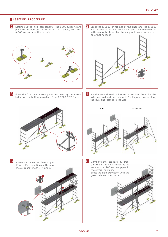# **ASSEMBLY PROCEDURE**